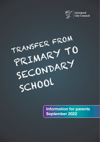

TRANSFER FROM PRIMARY TO SECONDARY SCHOOl

Information for parents September 2022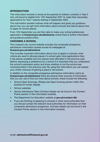### INTRODUCTION

This information booklet is aimed at the parents of children currently in Year 5 who will become eligible from 12th September 2021 to make their secondary applications for Year 7 places starting in September 2022.

This information booklet outlines what will happen and gives you guidance about how you can get more information about schools and advice about how to apply for school places.

From 12th September you are then able to make your school preferences application at **[liverpool.gov.uk/admissions](http://liverpool.gov.uk/admissions)** where there is further information and guidance posted online.

### CHOOSING A SCHOOL

The Liverpool city council website includes the composite prospectus admissions information spread across its webpages at

#### [liverpool.gov.uk/admissions](http://liverpool.gov.uk/admissions)

This includes important information about how to apply to schools; what criteria are used to allocate places if a school gets more applications than it has places available and how places were allocated in the previous year. Before expressing a preference for a school it is important that you understand the school's admission policy and know whether or not the school was oversubscribed in the previous year. By using this information you can assess your child's chances of gaining a place in the school.

In addition to the composite prospectus admissions information online at [liverpool.gov.uk/admissions](http://liverpool.gov.uk/admissions) there are several other sources of information that you can use to find out more about schools, these include the following:

- School Open Evenings. (Please see Open Evening section within this booklet for further details)
- School websites
- School Admissions Team (Contact details can be found in the Contact Points section in this information booklet).
- The Department for Education website at [gov.uk/contact-dfe](http://gov.uk/contact-dfe)
- If you are thinking of applying to schools in other local authorities then you should contact the relevant local authorities for information on their composite admissions prospectus. (Contact details can be found in the Contact Points section in this information booklet).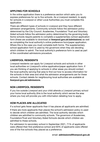# APPLYING FOR SCHOOLS

In the online application there is a preference section which asks you to express preferences for up to five schools. As a Liverpool resident, to apply for schools in Liverpool or other Local Authorities you must complete this application.

There are different types of schools in Liverpool and they have different admission arrangements. Community schools follow the admission policy determined by the City Council. Academies, Foundation/ Trust and Voluntary Aided schools follow the admission policy determined by the governing body. Some schools require parents to complete a supplementary school application form (these are available to download at <liverpool.gov.uk/admissions>) as well as completing the local authority's online preference form/paper application. Where this is the case you must complete both forms. The supplementary school application form is used by the governors when they are deciding which children to admit. The local authority's preference form is used as part of the coordinated admissions procedure.

# LIVERPOOL RESIDENTS

Liverpool residents can apply for Liverpool schools and schools in other local authorities on Liverpool's online application/paper application form. If you are thinking of applying to schools in other areas you should contact the local authority serving that area to find out how to access information for the schools in their area and what the admission arrangements are for these schools. Contact details for neighbouring local authorities are available at <liverpool.gov.uk/admissions>.

# NON LIVERPOOL RESIDENTS

If you live outside Liverpool and your child attends a Liverpool primary school your home local authority (this is the local authority which serves the area where you live) will provide you with information detailing how to apply.

# HOW PLACES ARE ALLOCATED

If a school gets fewer applicants than it has places all applicants are admitted.

If there are more applicants than places the school's admission policy is used to decide which children are admitted. The local authority decides which children are admitted to community schools. The governors of Academies, Foundation/Trust and Voluntary Aided Schools decide which children are admitted to these schools.

For admission to secondary school in September 2021, 71% of applicants were offered their first preference school and 93% of applicants were offered one of the five schools they placed as a preference.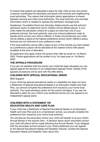To ensure that parents are allocated a place for their child at only one school Liverpool coordinates the admission procedure with schools and neighbouring local authorities. This means that information about applications is shared between schools and other local authorities. The local authority only provides information which is needed to operate the admission arrangements.

Academies, Foundation/Trust and Voluntary Aided schools use the school's admission policy to determine which children will be offered places. If your child meets the admission criteria for a place at more than one of your preferred schools, the local authority uses your school preference order to decide which school your child is offered. In these circumstances your child will be offered a place at the highest preference school which offered a place. Schools are not informed of your preference order.

If the local authority cannot offer a place at any of the schools you have stated as a preference a place will be allocated at the nearest school with places available at the time of allocation.

All applicants who apply online will receive their offer by email on 1st March 2022. Postal applications will be written to by 1st class post on 1st March 2022.

## THE APPEALS PROCEDURE

If you are not satisfied with the school your child has been allocated you can appeal against the decision to an Independent Appeals Panel. Details of the appeals procedures will be sent with the offer letters.

## CHILDREN WITH SPECIAL EDUCATIONAL NEEDS

#### SEN Support

If your child has special educational needs or a disability but does not have a Statement of Special Educational Needs or an Education Health and Care Plan, you should complete the preference form issued by your home local authority. The usual admission policy for the school will apply. If you are not allocated a place for your child in your preferred school you can appeal to an independent appeal panel.

### CHILDREN WITH A STATEMENT OR EDUCATION HEALTH AND CARE PLAN

If your child has a Statement of Special Educational Needs or an Education Health and Care Plan and is in a mainstream school, you should complete the preference form issued by your home local authority.

You will discuss the secondary school your child will transfer to at your child's Annual Review in the autumn term. A decision about which secondary school your child will attend will be made following the Annual Review. If you disagree with the secondary school named in your child's statement you can appeal to the Special Educational Needs and Disability Tribunal. Contact the Special Education Needs and Disability Team about this.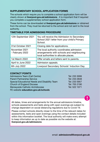## SUPPLEMENTARY SCHOOL APPLICATION FORMS

The schools which require you to complete a school application form will be clearly shown at **<liverpool.gov.uk/admissions>** . It is important that if required you complete a supplementary school application form.

These forms can be downloaded at <liverpool.gov.uk/admissions> or obtained from the school. They must be returned to the school and not sent to the local authority.

#### TIMETABLE FOR ADMISSIONS PROCEDURE

| 12th September 2021              | You will receive the Admission to Secondary<br>School 2021 letter from your child's Primary<br>School.                           |
|----------------------------------|----------------------------------------------------------------------------------------------------------------------------------|
| 31st October 2021                | Closing date for applications.                                                                                                   |
| November 2021<br>- February 2022 | The local authority coordinates admission<br>arrangements with schools and neighbouring<br>local authorities to allocate places. |
| 1st March 2022                   | Offer emails and letters sent to parents.                                                                                        |
| April to June 2022               | Admission appeals.                                                                                                               |
| 6th July 2022                    | Liverpool Secondary Schools' Induction Day.                                                                                      |

#### CONTACT POINTS

| Admissions Team (Call Centre)                 | Tel: 233 3006 |
|-----------------------------------------------|---------------|
| <b>Parent Partnership Service</b>             | Tel: 233 2848 |
| Special Educational Needs and Disability Team | Tel: 233 5957 |
| <b>Church of England Diocese</b>              | Tel: 705 2190 |
| Merseyside Catholic Archdiocese               | Tel: 522 1071 |
| FE website education.gov.uk/schools           |               |

All dates, times and arrangements for the annual admissions timeline, schools assessments and tests along with open evenings are subject to change dependent on social distancing regulations due to Covid-19.

Please contact schools directly closer to the time of the relevant dates for assessments, tests and open evenings using the contact details included within this information booklet. The local authority will make every attempt to keep information as up to date as possible via the website at: [liverpool.gov.uk/admissions](http://liverpool.gov.uk/admissions)

Ī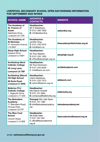#### LIVERPOOL SECONDARY SCHOOL OPEN DAY/EVENING INFORMATION FOR SEPTEMBER 2022 INTAKE

| <b>SCHOOL NAME</b>                                                                            | <b>ADDRESS &amp;</b><br><b>CONTACTS</b>                                                    | <b>WEBSITE</b>                 |
|-----------------------------------------------------------------------------------------------|--------------------------------------------------------------------------------------------|--------------------------------|
| The Academy of<br>St. Francis of<br>Assisi<br>Gardners Drive,<br>Liverpool L6 7UR             | <b>Headteacher:</b><br>Mr K Maddocks<br>T: 0151 260 7600<br><b>E:</b> info@asfaonline      | asfaonline.org                 |
| The Academy of<br><b>St Nicholas</b><br>51 Horrocks Avenue<br><b>L19 9NY</b>                  | <b>Headteacher:</b><br>Jeniffer Sina<br>T: 0151 230 2570<br>$E:$ info@astn.uk              | theacademyofstnicholas.org.uk  |
| <b>Alsop High School</b><br>Queens Drive<br>Liverpool L4 6SH                                  | <b>Headteacher:</b><br>Mr Paul Masher<br>T: 0151 235 1200<br>E: office@alsophigh.org.uk    | alsophigh.org.uk               |
| <b>Archbishop Beck</b><br><b>Catholic College</b><br>55 Long Lane,<br><b>Liverpool L9 7BF</b> | Headteacher:<br>Mr Paul Dickinson<br>T: 0151 525 6326<br>E: info@beck.uk.com               | archbishopbeck.com             |
| <b>Archbishop Blanch</b><br><b>CE High School</b><br>80 Earle Road<br><b>Liverpool L7 6HQ</b> | Headteacher:<br>Claire Madeloso<br>T: 0151 233 7373<br>E: admin@blanch.org.uk              | abblanch.com                   |
| <b>Bellerive FCJ</b><br><b>Catholic College</b><br>1, Aigburth Drive,<br>Liverpool L17 3AA    | Headteacher:<br>Mrs Niamh Howlett<br>T: 0151 727 2064<br>E: contactus@bellerivefcj.org     | bellerivefcj.org               |
| <b>The Belvedere</b><br>Academy<br>17 Belvidere Road,<br>Princes Park,<br>Liverpool L8 3TF    | <b>Principal:</b> Mrs Julie Taylor<br>T: 0151 727 1284<br>E: info@belvedereacademy.<br>net | belvedereacademy.net           |
| <b>The Blue Coat</b><br><b>School</b><br>Church Road,<br>Liverpool L15 9EE                    | Headteacher:<br>Ms Scilla Yates<br>T: 0151 733 1407<br>E: office@bluecoatschool.<br>org.uk | bluecoatschoolliverpool.org.uk |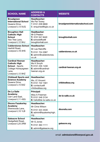| <b>SCHOOL NAME</b>                                                                                                            | <b>ADDRESS &amp;</b><br><b>CONTACTS</b>                                                            | <b>WEBSITE</b>                    |
|-------------------------------------------------------------------------------------------------------------------------------|----------------------------------------------------------------------------------------------------|-----------------------------------|
| <b>Broadgreen</b><br><b>International School</b><br>Queens Drive.<br>Liverpool L13 5UQ                                        | <b>Headteacher:</b><br>Ms Pat Towey<br>T: 0151 228 6800<br>E: enquiries@bgis.co.uk                 | broadgreeninternationalschool.com |
| <b>Broughton Hall</b><br><b>Catholic High</b><br><b>School</b><br>Yew Tree Lane.<br>Liverpool L12 9HJ                         | <b>Headteacher:</b><br>Mr G Preston<br>T: 0151 541 9440<br>$E:$ schooloffice@<br>broughtonhall.com | broughtonhall.com                 |
| <b>Calderstones School</b><br>Harthill Road,                                                                                  | Headteacher:<br>Mr Lee Ratcliffe                                                                   |                                   |
| Liverpool L18 3HS                                                                                                             | T: 0151 724 2087<br><b>E:</b> admin@calderstones.<br>co.uk                                         | calderstones.co.uk                |
| <b>Cardinal Heenan</b><br><b>Catholic High</b><br><b>School - Sports</b><br>College Honeysgreen<br>Lane,<br>Liverpool L12 9HZ | Headteacher:<br>Ms K Smyth<br>T: 0151 235 1430<br>E: admin@cardinal-<br>heenan.org.uk              | cardinal-heenan.org.uk            |
| <b>Childwall Sports and</b>                                                                                                   | Headteacher:                                                                                       |                                   |
| <b>Science Academv</b><br>Queens Drive,<br>Liverpool L15 6XZ                                                                  | Ms J E Vincent<br>T: 0151 722 1561                                                                 | childwallssa.org                  |
|                                                                                                                               | $E:$ contactus@<br>childwallssa.org                                                                |                                   |
| De La Salle<br>Academy<br>Carr Lane East,<br>Liverpool L11 4SG                                                                | <b>Principal:</b><br>Miss A Freeman<br>T: 0151 546 3134<br>E: hello@de-la-salle.co.uk              | de-la-salle.co.uk                 |
| <b>Dixons Fazakerley</b>                                                                                                      | Headteacher:                                                                                       |                                   |
| Academy                                                                                                                       | Mr Chris Wilson                                                                                    |                                   |
| Sherwoods Lane.<br>Liverpool L10 1LB                                                                                          | T: 0151 524 4530<br>E: admin@fazakerleyhigh.<br>org                                                | dixonsfa.com                      |
| <b>Gateacre School</b>                                                                                                        | Headteacher:                                                                                       |                                   |
| Hedgefield Road,                                                                                                              | Mr G Jones                                                                                         |                                   |
| Liverpool L25 2RW                                                                                                             | T: 0151 363 1111                                                                                   | gateacre.org                      |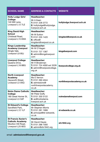| <b>SCHOOL NAME</b>                                                                               | <b>ADDRESS &amp; CONTACTS</b>                                                                          | <b>WEBSITE</b>              |
|--------------------------------------------------------------------------------------------------|--------------------------------------------------------------------------------------------------------|-----------------------------|
| <b>Holly Lodge Girls'</b><br><b>College</b><br>140 Mill Lane,<br>Liverpool L12 7LE               | <b>Headteacher:</b><br>Mr A Keen<br>T: 0151 228 3772<br>E: hollylodge@hollylodge.<br>liverpool.sch.uk  | hollylodge.liverpool.sch.uk |
| <b>King David High</b><br>School<br>Childwall Road.<br>Liverpool L15 6WA                         | Headteacher:<br>Mr M Sutton<br>T: 0151 235 1420<br>$E:$ office $@$<br>kingdavidliverpool.co.uk         | kingdavidliverpool.co.uk    |
| <b>Kings Leadership</b><br><b>Academy Liverpool</b><br>Dingle Vale,<br>Liverpool L8 9SJ          | <b>Headteacher:</b><br>Mr M O'Hagan<br>T: 0151 727 1387<br>E: admin@kingsliverpool.<br>com             | kingsliverpool.com          |
| <b>Liverpool College</b><br>Queens Drive,<br>Liverpool L18 8BG                                   | Headteacher:<br>Mr H Broekman<br>T: 0151 724 4000 ext 3228<br>E: admin@liverpoolcollege.<br>org.uk     | liverpoolcollege.org.uk     |
| <b>North Liverpool</b><br>Academy<br>Heyworth Street,<br>Liverpool L5 0SQ                        | Headteacher:<br>Ms E Vernon<br>T: 0151 260 4044<br>$E:$ admissions@<br>northliverpoolacademy.<br>co.uk | northliverpoolacademy.co.uk |
| <b>Notre Dame Catholic</b><br>College<br>180 Great Homer St.<br>Liverpool L5 5AF                 | <b>Headteacher:</b><br>Mr Peter Duffy<br>T: 0151 330 5122<br>E: ao@notredame.<br>liverpool.sch.uk      | notredameliverpool.com      |
| <b>St Edward's College</b><br>Sandfield Park,<br>Liverpool L12 1LF                               | Headteacher:<br>Mr Stephen Morris<br>T: 0151 281 1999<br>E: principal@st-edwards.<br>co.uk             | st-edwards.co.uk            |
| <b>St Francis Xavier's</b><br><b>Catholic Academy</b><br>Woolton Hill Road.<br>Liverpool L25 6EG | Headteacher:<br>Mr David Hayes<br>T: 0151 288 1000<br>E: admin@sfx1842.org                             | sfx1842.org                 |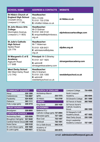| <b>SCHOOL NAME</b>                                                                         | <b>ADDRESS &amp; CONTACTS</b>                                                                  | <b>WEBSITE</b>             |
|--------------------------------------------------------------------------------------------|------------------------------------------------------------------------------------------------|----------------------------|
| St Hilda's Church of<br><b>England High School</b><br>Croxteth Drive.<br>Liverpool L17 3AL | Headteacher:<br>Mrs J Code<br>T: 01517332709<br>$E: \mathsf{info@st\text{-}hildas.co.uk}$      | st-hildas.co.uk            |
| <b>St John Bosco Arts</b><br><b>College</b><br>Storrington Avenue,<br>Liverpool L11 9DQ    | Headteacher:<br>Mr D Gidman<br>T: 0151 330 5142<br>E: enquiries@stiohnbosco.<br>org.uk         | stjohnboscoartscollege.com |
| <b>St Julie's Catholic</b><br><b>High School</b><br>Speke Road<br>1257TN                   | Headteacher:<br>Mr T Alderman<br>T: 0151 428 6421<br><b>E</b> : admissions@stjulies.<br>org.uk | stjulies.org.uk            |
| St Margaret's C of E<br>Academy<br>Aigburth Road<br>1176AB                                 | <b>Principal:</b> Mr S Brierley<br>T: 01514271825<br>$E:$ admin $@$<br>stmargaretsacademy.com  | stmargaretsacademy.com     |
| <b>West Derby School</b><br>364 West Derby Road<br>L <sub>13</sub> 7HQ                     | Headteacher:<br>Mrs S Graham<br>T: 0151 235 1300<br>$E:$ admin $@$<br>westderbyschool.co.uk    | westderbyschool.co.uk      |

| <b>COMMUNITY SCHOOLS</b>        |          |
|---------------------------------|----------|
| Alsop                           | 235 1200 |
| Calderstones                    | 724 2087 |
| Fazakerley                      | 524 4530 |
| Gateacre                        | 363 1111 |
| Holly Lodge (girls)             | 228 3772 |
| <b>TRUST SCHOOLS</b>            |          |
| Broadgreen                      | 228 6800 |
| <b>CATHOLIC SCHOOLS</b>         |          |
| <b>Archbishop Beck</b>          | 525 6326 |
| Broughton Hall (girls)          | 541 9440 |
| Cardinal Heenan (boys) 235 1430 |          |
| Notre Dame                      | 330 5122 |
| St John Bosco (girls)           | 235 1620 |
| St Julie's (girls)              | 428 6421 |

| <b>CHURCH OF ENGLAND</b>                                   |          |
|------------------------------------------------------------|----------|
| <b>Archbishop Blanch</b><br>(girls)                        | 233 7373 |
| St Hilda's                                                 | 733 2709 |
| <b>JEWISH</b>                                              |          |
| King David                                                 | 235 1420 |
| <b>ACADEMIES</b>                                           |          |
| <b>Bellerive FC.I</b><br>Catholic College (girls) 727 2064 |          |
| Belvedere (girls)                                          | 727 1284 |
| <b>Blue Coat</b>                                           | 733 1407 |
| Childwall                                                  | 722 1561 |
| De La Salle (boys)                                         | 546 3134 |
| Academy of<br><b>St Nicholas</b>                           | 230 2570 |

| <b>Liverpool College</b>    | 724 4000 |
|-----------------------------|----------|
| North Liverpool             |          |
| Academy                     | 260 4044 |
| <b>St Edward's College</b>  | 281 1999 |
| <b>St Francis of Assisi</b> | 260 7600 |
| <b>St Francis Xavier's</b>  |          |
| Catholic Academy            |          |
| (boys)                      | 288 1000 |
| St Margaret's CofE          |          |
| Academy (boys)              | 427 1825 |
| <b>West Derby (boys)</b>    | 235 1300 |
| King's Leadership           |          |
| Academy Liverpool           | 727 1387 |